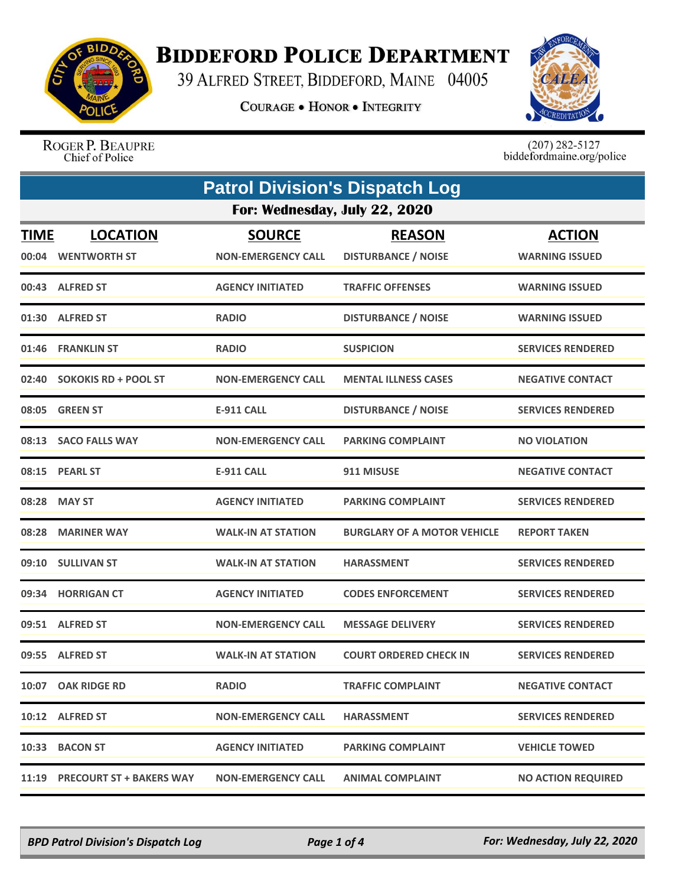

## **BIDDEFORD POLICE DEPARTMENT**

39 ALFRED STREET, BIDDEFORD, MAINE 04005

**COURAGE . HONOR . INTEGRITY** 



ROGER P. BEAUPRE Chief of Police

 $(207)$  282-5127<br>biddefordmaine.org/police

| <b>Patrol Division's Dispatch Log</b> |                                |                           |                                    |                           |  |  |
|---------------------------------------|--------------------------------|---------------------------|------------------------------------|---------------------------|--|--|
|                                       | For: Wednesday, July 22, 2020  |                           |                                    |                           |  |  |
| <b>TIME</b>                           | <b>LOCATION</b>                | <b>SOURCE</b>             | <b>REASON</b>                      | <b>ACTION</b>             |  |  |
| 00:04                                 | <b>WENTWORTH ST</b>            | <b>NON-EMERGENCY CALL</b> | <b>DISTURBANCE / NOISE</b>         | <b>WARNING ISSUED</b>     |  |  |
|                                       | 00:43 ALFRED ST                | <b>AGENCY INITIATED</b>   | <b>TRAFFIC OFFENSES</b>            | <b>WARNING ISSUED</b>     |  |  |
|                                       | 01:30 ALFRED ST                | <b>RADIO</b>              | <b>DISTURBANCE / NOISE</b>         | <b>WARNING ISSUED</b>     |  |  |
| 01:46                                 | <b>FRANKLIN ST</b>             | <b>RADIO</b>              | <b>SUSPICION</b>                   | <b>SERVICES RENDERED</b>  |  |  |
| 02:40                                 | <b>SOKOKIS RD + POOL ST</b>    | <b>NON-EMERGENCY CALL</b> | <b>MENTAL ILLNESS CASES</b>        | <b>NEGATIVE CONTACT</b>   |  |  |
| 08:05                                 | <b>GREEN ST</b>                | <b>E-911 CALL</b>         | <b>DISTURBANCE / NOISE</b>         | <b>SERVICES RENDERED</b>  |  |  |
|                                       | 08:13 SACO FALLS WAY           | <b>NON-EMERGENCY CALL</b> | <b>PARKING COMPLAINT</b>           | <b>NO VIOLATION</b>       |  |  |
| 08:15                                 | <b>PEARL ST</b>                | <b>E-911 CALL</b>         | 911 MISUSE                         | <b>NEGATIVE CONTACT</b>   |  |  |
|                                       | 08:28 MAY ST                   | <b>AGENCY INITIATED</b>   | <b>PARKING COMPLAINT</b>           | <b>SERVICES RENDERED</b>  |  |  |
| 08:28                                 | <b>MARINER WAY</b>             | <b>WALK-IN AT STATION</b> | <b>BURGLARY OF A MOTOR VEHICLE</b> | <b>REPORT TAKEN</b>       |  |  |
| 09:10                                 | <b>SULLIVAN ST</b>             | <b>WALK-IN AT STATION</b> | <b>HARASSMENT</b>                  | <b>SERVICES RENDERED</b>  |  |  |
| 09:34                                 | <b>HORRIGAN CT</b>             | <b>AGENCY INITIATED</b>   | <b>CODES ENFORCEMENT</b>           | <b>SERVICES RENDERED</b>  |  |  |
|                                       | 09:51 ALFRED ST                | <b>NON-EMERGENCY CALL</b> | <b>MESSAGE DELIVERY</b>            | <b>SERVICES RENDERED</b>  |  |  |
|                                       | 09:55 ALFRED ST                | <b>WALK-IN AT STATION</b> | <b>COURT ORDERED CHECK IN</b>      | <b>SERVICES RENDERED</b>  |  |  |
|                                       | 10:07 OAK RIDGE RD             | <b>RADIO</b>              | <b>TRAFFIC COMPLAINT</b>           | <b>NEGATIVE CONTACT</b>   |  |  |
|                                       | 10:12 ALFRED ST                | <b>NON-EMERGENCY CALL</b> | <b>HARASSMENT</b>                  | <b>SERVICES RENDERED</b>  |  |  |
|                                       | 10:33 BACON ST                 | <b>AGENCY INITIATED</b>   | <b>PARKING COMPLAINT</b>           | <b>VEHICLE TOWED</b>      |  |  |
|                                       | 11:19 PRECOURT ST + BAKERS WAY | <b>NON-EMERGENCY CALL</b> | <b>ANIMAL COMPLAINT</b>            | <b>NO ACTION REQUIRED</b> |  |  |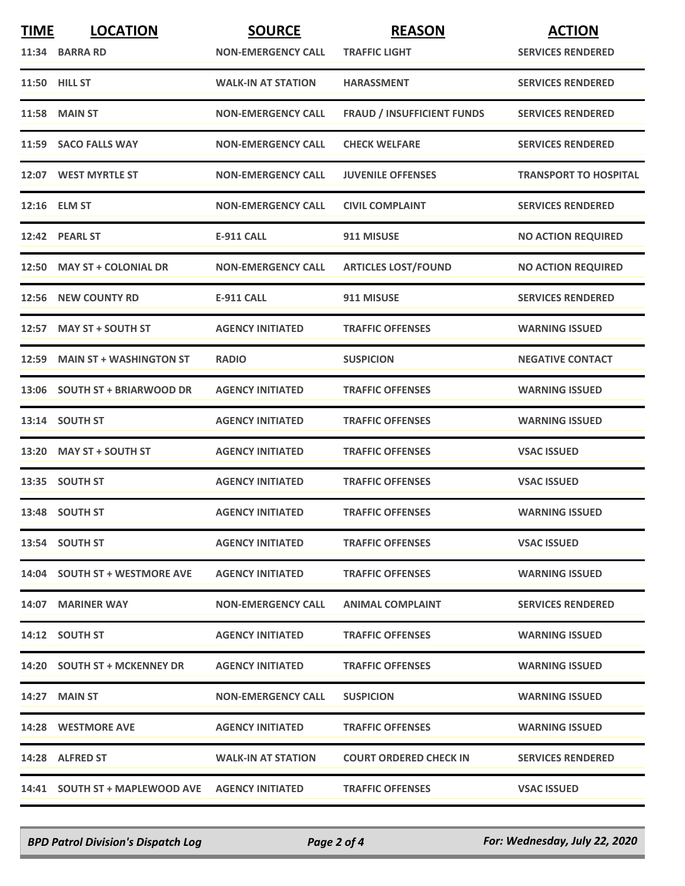| <b>TIME</b> | <b>LOCATION</b>                                 | <b>SOURCE</b>             | <b>REASON</b>                     | <b>ACTION</b>                |
|-------------|-------------------------------------------------|---------------------------|-----------------------------------|------------------------------|
|             | 11:34 BARRA RD                                  | <b>NON-EMERGENCY CALL</b> | <b>TRAFFIC LIGHT</b>              | <b>SERVICES RENDERED</b>     |
|             | 11:50 HILL ST                                   | <b>WALK-IN AT STATION</b> | <b>HARASSMENT</b>                 | <b>SERVICES RENDERED</b>     |
| 11:58       | <b>MAIN ST</b>                                  | <b>NON-EMERGENCY CALL</b> | <b>FRAUD / INSUFFICIENT FUNDS</b> | <b>SERVICES RENDERED</b>     |
|             | 11:59 SACO FALLS WAY                            | <b>NON-EMERGENCY CALL</b> | <b>CHECK WELFARE</b>              | <b>SERVICES RENDERED</b>     |
|             | 12:07 WEST MYRTLE ST                            | <b>NON-EMERGENCY CALL</b> | <b>JUVENILE OFFENSES</b>          | <b>TRANSPORT TO HOSPITAL</b> |
|             | 12:16 ELM ST                                    | <b>NON-EMERGENCY CALL</b> | <b>CIVIL COMPLAINT</b>            | <b>SERVICES RENDERED</b>     |
|             | 12:42 PEARL ST                                  | <b>E-911 CALL</b>         | 911 MISUSE                        | <b>NO ACTION REQUIRED</b>    |
|             | 12:50 MAY ST + COLONIAL DR                      | <b>NON-EMERGENCY CALL</b> | <b>ARTICLES LOST/FOUND</b>        | <b>NO ACTION REQUIRED</b>    |
| 12:56       | <b>NEW COUNTY RD</b>                            | <b>E-911 CALL</b>         | 911 MISUSE                        | <b>SERVICES RENDERED</b>     |
| 12:57       | <b>MAY ST + SOUTH ST</b>                        | <b>AGENCY INITIATED</b>   | <b>TRAFFIC OFFENSES</b>           | <b>WARNING ISSUED</b>        |
|             | 12:59 MAIN ST + WASHINGTON ST                   | <b>RADIO</b>              | <b>SUSPICION</b>                  | <b>NEGATIVE CONTACT</b>      |
| 13:06       | <b>SOUTH ST + BRIARWOOD DR</b>                  | <b>AGENCY INITIATED</b>   | <b>TRAFFIC OFFENSES</b>           | <b>WARNING ISSUED</b>        |
|             | 13:14 SOUTH ST                                  | <b>AGENCY INITIATED</b>   | <b>TRAFFIC OFFENSES</b>           | <b>WARNING ISSUED</b>        |
|             | 13:20 MAY ST + SOUTH ST                         | <b>AGENCY INITIATED</b>   | <b>TRAFFIC OFFENSES</b>           | <b>VSAC ISSUED</b>           |
|             | 13:35 SOUTH ST                                  | <b>AGENCY INITIATED</b>   | <b>TRAFFIC OFFENSES</b>           | <b>VSAC ISSUED</b>           |
|             | 13:48 SOUTH ST                                  | <b>AGENCY INITIATED</b>   | <b>TRAFFIC OFFENSES</b>           | <b>WARNING ISSUED</b>        |
|             | 13:54 SOUTH ST                                  | <b>AGENCY INITIATED</b>   | <b>TRAFFIC OFFENSES</b>           | <b>VSAC ISSUED</b>           |
|             | 14:04 SOUTH ST + WESTMORE AVE                   | <b>AGENCY INITIATED</b>   | <b>TRAFFIC OFFENSES</b>           | <b>WARNING ISSUED</b>        |
|             | 14:07 MARINER WAY                               | <b>NON-EMERGENCY CALL</b> | <b>ANIMAL COMPLAINT</b>           | <b>SERVICES RENDERED</b>     |
|             | 14:12 SOUTH ST                                  | <b>AGENCY INITIATED</b>   | <b>TRAFFIC OFFENSES</b>           | <b>WARNING ISSUED</b>        |
|             | 14:20 SOUTH ST + MCKENNEY DR                    | <b>AGENCY INITIATED</b>   | <b>TRAFFIC OFFENSES</b>           | <b>WARNING ISSUED</b>        |
|             | 14:27 MAIN ST                                   | <b>NON-EMERGENCY CALL</b> | <b>SUSPICION</b>                  | <b>WARNING ISSUED</b>        |
|             | 14:28 WESTMORE AVE                              | <b>AGENCY INITIATED</b>   | <b>TRAFFIC OFFENSES</b>           | <b>WARNING ISSUED</b>        |
|             | 14:28 ALFRED ST                                 | <b>WALK-IN AT STATION</b> | <b>COURT ORDERED CHECK IN</b>     | <b>SERVICES RENDERED</b>     |
|             | 14:41 SOUTH ST + MAPLEWOOD AVE AGENCY INITIATED |                           | <b>TRAFFIC OFFENSES</b>           | <b>VSAC ISSUED</b>           |

*BPD Patrol Division's Dispatch Log Page 2 of 4 For: Wednesday, July 22, 2020*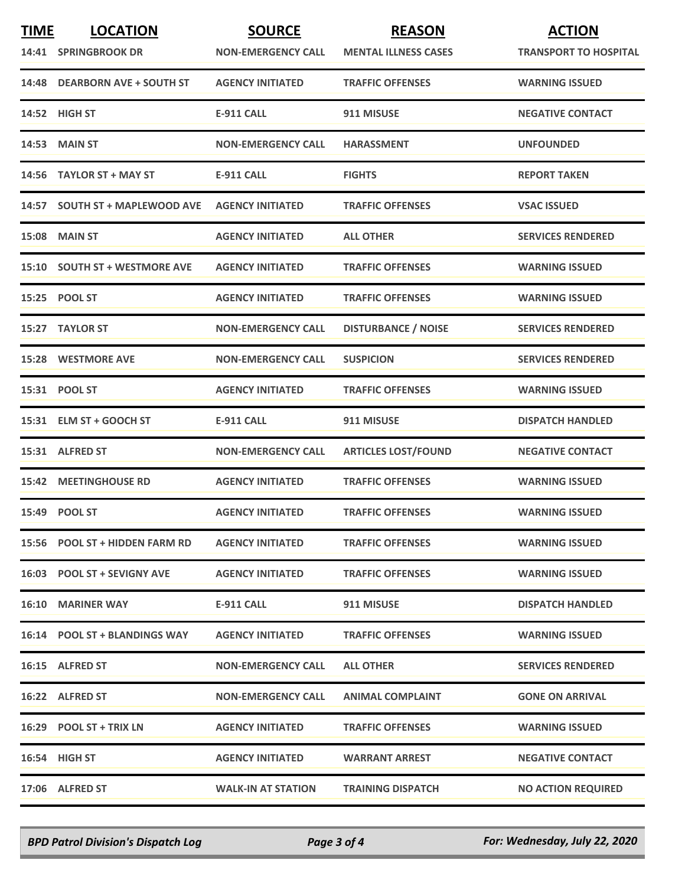| <b>TIME</b> | <b>LOCATION</b><br>14:41 SPRINGBROOK DR | <b>SOURCE</b><br><b>NON-EMERGENCY CALL</b> | <b>REASON</b><br><b>MENTAL ILLNESS CASES</b> | <b>ACTION</b><br><b>TRANSPORT TO HOSPITAL</b> |
|-------------|-----------------------------------------|--------------------------------------------|----------------------------------------------|-----------------------------------------------|
|             | 14:48 DEARBORN AVE + SOUTH ST           | <b>AGENCY INITIATED</b>                    | <b>TRAFFIC OFFENSES</b>                      | <b>WARNING ISSUED</b>                         |
|             | 14:52 HIGH ST                           | <b>E-911 CALL</b>                          | 911 MISUSE                                   | <b>NEGATIVE CONTACT</b>                       |
|             | <b>14:53 MAIN ST</b>                    | <b>NON-EMERGENCY CALL</b>                  | <b>HARASSMENT</b>                            | <b>UNFOUNDED</b>                              |
|             | 14:56 TAYLOR ST + MAY ST                | <b>E-911 CALL</b>                          | <b>FIGHTS</b>                                | <b>REPORT TAKEN</b>                           |
|             | 14:57 SOUTH ST + MAPLEWOOD AVE          | <b>AGENCY INITIATED</b>                    | <b>TRAFFIC OFFENSES</b>                      | <b>VSAC ISSUED</b>                            |
|             | <b>15:08 MAIN ST</b>                    | <b>AGENCY INITIATED</b>                    | <b>ALL OTHER</b>                             | <b>SERVICES RENDERED</b>                      |
|             | 15:10 SOUTH ST + WESTMORE AVE           | <b>AGENCY INITIATED</b>                    | <b>TRAFFIC OFFENSES</b>                      | <b>WARNING ISSUED</b>                         |
|             | 15:25 POOL ST                           | <b>AGENCY INITIATED</b>                    | <b>TRAFFIC OFFENSES</b>                      | <b>WARNING ISSUED</b>                         |
|             | 15:27 TAYLOR ST                         | <b>NON-EMERGENCY CALL</b>                  | <b>DISTURBANCE / NOISE</b>                   | <b>SERVICES RENDERED</b>                      |
|             | <b>15:28 WESTMORE AVE</b>               | <b>NON-EMERGENCY CALL</b>                  | <b>SUSPICION</b>                             | <b>SERVICES RENDERED</b>                      |
|             | 15:31 POOL ST                           | <b>AGENCY INITIATED</b>                    | <b>TRAFFIC OFFENSES</b>                      | <b>WARNING ISSUED</b>                         |
|             | 15:31 ELM ST + GOOCH ST                 | <b>E-911 CALL</b>                          | 911 MISUSE                                   | <b>DISPATCH HANDLED</b>                       |
|             | 15:31 ALFRED ST                         | <b>NON-EMERGENCY CALL</b>                  | <b>ARTICLES LOST/FOUND</b>                   | <b>NEGATIVE CONTACT</b>                       |
|             | <b>15:42 MEETINGHOUSE RD</b>            | <b>AGENCY INITIATED</b>                    | <b>TRAFFIC OFFENSES</b>                      | <b>WARNING ISSUED</b>                         |
|             | 15:49 POOL ST                           | <b>AGENCY INITIATED</b>                    | <b>TRAFFIC OFFENSES</b>                      | <b>WARNING ISSUED</b>                         |
|             | 15:56 POOL ST + HIDDEN FARM RD          | <b>AGENCY INITIATED</b>                    | <b>TRAFFIC OFFENSES</b>                      | <b>WARNING ISSUED</b>                         |
|             | 16:03 POOL ST + SEVIGNY AVE             | <b>AGENCY INITIATED</b>                    | <b>TRAFFIC OFFENSES</b>                      | <b>WARNING ISSUED</b>                         |
|             | <b>16:10 MARINER WAY</b>                | E-911 CALL                                 | 911 MISUSE                                   | <b>DISPATCH HANDLED</b>                       |
|             | 16:14 POOL ST + BLANDINGS WAY           | <b>AGENCY INITIATED</b>                    | <b>TRAFFIC OFFENSES</b>                      | <b>WARNING ISSUED</b>                         |
|             | 16:15 ALFRED ST                         | <b>NON-EMERGENCY CALL</b>                  | <b>ALL OTHER</b>                             | <b>SERVICES RENDERED</b>                      |
|             | 16:22 ALFRED ST                         | <b>NON-EMERGENCY CALL</b>                  | <b>ANIMAL COMPLAINT</b>                      | <b>GONE ON ARRIVAL</b>                        |
|             | 16:29 POOL ST + TRIX LN                 | <b>AGENCY INITIATED</b>                    | <b>TRAFFIC OFFENSES</b>                      | <b>WARNING ISSUED</b>                         |
|             | 16:54 HIGH ST                           | <b>AGENCY INITIATED</b>                    | <b>WARRANT ARREST</b>                        | <b>NEGATIVE CONTACT</b>                       |
|             | 17:06 ALFRED ST                         | <b>WALK-IN AT STATION</b>                  | <b>TRAINING DISPATCH</b>                     | <b>NO ACTION REQUIRED</b>                     |

*BPD Patrol Division's Dispatch Log Page 3 of 4 For: Wednesday, July 22, 2020*